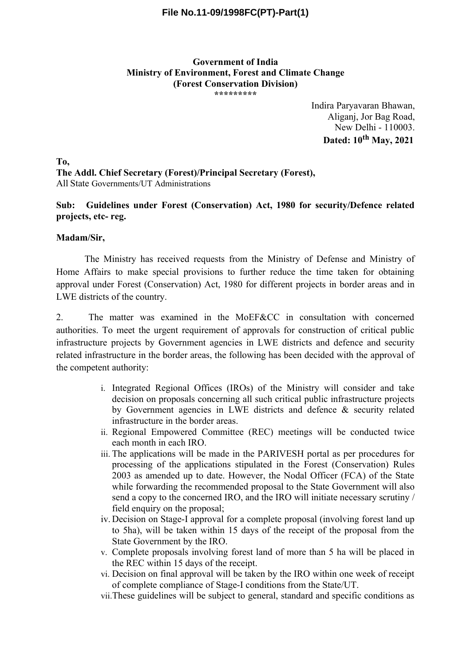# **File No.11-09/1998FC(PT)-Part(1)**

#### **Government of India Ministry of Environment, Forest and Climate Change (Forest Conservation Division) \*\*\*\*\*\*\*\*\***

Indira Paryavaran Bhawan, Aliganj, Jor Bag Road, New Delhi - 110003. **Dated: 10th May, 2021**

**To, The Addl. Chief Secretary (Forest)/Principal Secretary (Forest),** All State Governments/UT Administrations

## **Sub: Guidelines under Forest (Conservation) Act, 1980 for security/Defence related projects, etc- reg.**

### **Madam/Sir,**

The Ministry has received requests from the Ministry of Defense and Ministry of Home Affairs to make special provisions to further reduce the time taken for obtaining approval under Forest (Conservation) Act, 1980 for different projects in border areas and in LWE districts of the country.

2. The matter was examined in the MoEF&CC in consultation with concerned authorities. To meet the urgent requirement of approvals for construction of critical public infrastructure projects by Government agencies in LWE districts and defence and security related infrastructure in the border areas, the following has been decided with the approval of the competent authority:

- i. Integrated Regional Offices (IROs) of the Ministry will consider and take decision on proposals concerning all such critical public infrastructure projects by Government agencies in LWE districts and defence & security related infrastructure in the border areas.
- ii. Regional Empowered Committee (REC) meetings will be conducted twice each month in each IRO.
- iii. The applications will be made in the PARIVESH portal as per procedures for processing of the applications stipulated in the Forest (Conservation) Rules 2003 as amended up to date. However, the Nodal Officer (FCA) of the State while forwarding the recommended proposal to the State Government will also send a copy to the concerned IRO, and the IRO will initiate necessary scrutiny / field enquiry on the proposal;
- iv. Decision on Stage-I approval for a complete proposal (involving forest land up to 5ha), will be taken within 15 days of the receipt of the proposal from the State Government by the IRO.
- v. Complete proposals involving forest land of more than 5 ha will be placed in the REC within 15 days of the receipt.
- vi. Decision on final approval will be taken by the IRO within one week of receipt of complete compliance of Stage-I conditions from the State/UT.
- vii.These guidelines will be subject to general, standard and specific conditions as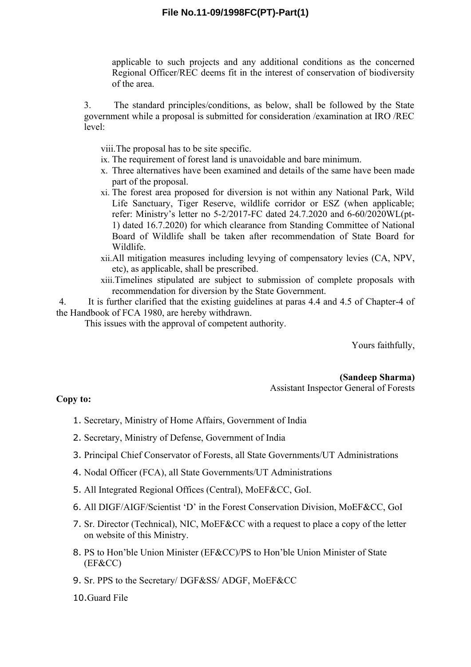# **File No.11-09/1998FC(PT)-Part(1)**

applicable to such projects and any additional conditions as the concerned Regional Officer/REC deems fit in the interest of conservation of biodiversity of the area.

3. The standard principles/conditions, as below, shall be followed by the State government while a proposal is submitted for consideration /examination at IRO /REC level:

viii.The proposal has to be site specific.

- ix. The requirement of forest land is unavoidable and bare minimum.
- x. Three alternatives have been examined and details of the same have been made part of the proposal.
- xi. The forest area proposed for diversion is not within any National Park, Wild Life Sanctuary, Tiger Reserve, wildlife corridor or ESZ (when applicable; refer: Ministry's letter no 5-2/2017-FC dated 24.7.2020 and 6-60/2020WL(pt-1) dated 16.7.2020) for which clearance from Standing Committee of National Board of Wildlife shall be taken after recommendation of State Board for Wildlife.
- xii.All mitigation measures including levying of compensatory levies (CA, NPV, etc), as applicable, shall be prescribed.
- xiii.Timelines stipulated are subject to submission of complete proposals with recommendation for diversion by the State Government.

4. It is further clarified that the existing guidelines at paras 4.4 and 4.5 of Chapter-4 of the Handbook of FCA 1980, are hereby withdrawn.

This issues with the approval of competent authority.

Yours faithfully,

**(Sandeep Sharma)** Assistant Inspector General of Forests

### **Copy to:**

- 1. Secretary, Ministry of Home Affairs, Government of India
- 2. Secretary, Ministry of Defense, Government of India
- 3. Principal Chief Conservator of Forests, all State Governments/UT Administrations
- 4. Nodal Officer (FCA), all State Governments/UT Administrations
- 5. All Integrated Regional Offices (Central), MoEF&CC, GoI.
- 6. All DIGF/AIGF/Scientist 'D' in the Forest Conservation Division, MoEF&CC, GoI
- 7. Sr. Director (Technical), NIC, MoEF&CC with a request to place a copy of the letter on website of this Ministry.
- 8. PS to Hon'ble Union Minister (EF&CC)/PS to Hon'ble Union Minister of State (EF&CC)
- 9. Sr. PPS to the Secretary/ DGF&SS/ ADGF, MoEF&CC
- 10.Guard File